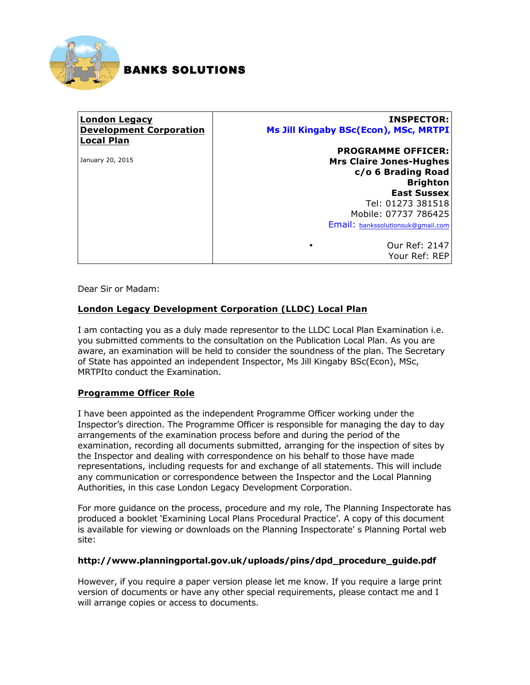

# BANKS SOLUTIONS

#### **London Legacy Development Corporation Local Plan** January 20, 2015 **INSPECTOR: Ms Jill Kingaby BSc(Econ), MSc, MRTPI PROGRAMME OFFICER: Mrs Claire Jones-Hughes c/o 6 Brading Road Brighton East Sussex** Tel: 01273 381518 Mobile: 07737 786425 Email: bankssolutionsuk@gmail.com

• Our Ref: 2147 Your Ref: REP

Dear Sir or Madam:

## **London Legacy Development Corporation (LLDC) Local Plan**

I am contacting you as a duly made representor to the LLDC Local Plan Examination i.e. you submitted comments to the consultation on the Publication Local Plan. As you are aware, an examination will be held to consider the soundness of the plan. The Secretary of State has appointed an independent Inspector, Ms Jill Kingaby BSc(Econ), MSc, MRTPIto conduct the Examination.

## **Programme Officer Role**

I have been appointed as the independent Programme Officer working under the Inspector's direction. The Programme Officer is responsible for managing the day to day arrangements of the examination process before and during the period of the examination, recording all documents submitted, arranging for the inspection of sites by the Inspector and dealing with correspondence on his behalf to those have made representations, including requests for and exchange of all statements. This will include any communication or correspondence between the Inspector and the Local Planning Authorities, in this case London Legacy Development Corporation.

For more guidance on the process, procedure and my role, The Planning Inspectorate has produced a booklet 'Examining Local Plans Procedural Practice'. A copy of this document is available for viewing or downloads on the Planning Inspectorate' s Planning Portal web site:

#### **http://www.planningportal.gov.uk/uploads/pins/dpd\_procedure\_guide.pdf**

However, if you require a paper version please let me know. If you require a large print version of documents or have any other special requirements, please contact me and I will arrange copies or access to documents.